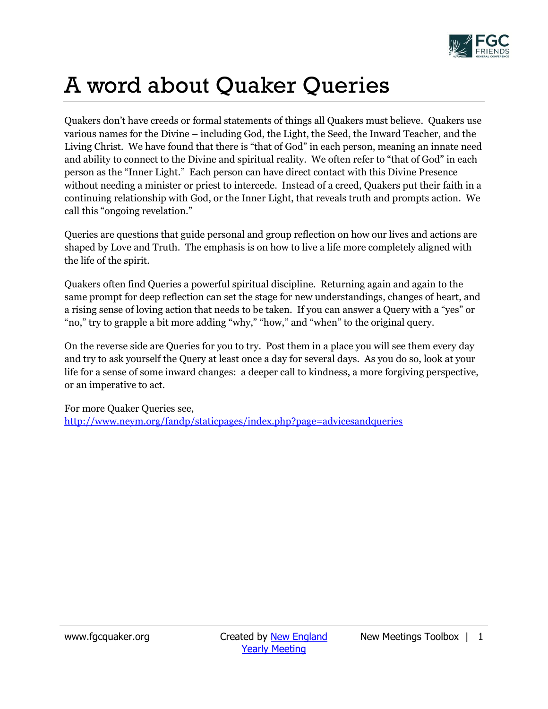

## A word about Quaker Queries

Quakers don't have creeds or formal statements of things all Quakers must believe. Quakers use various names for the Divine – including God, the Light, the Seed, the Inward Teacher, and the Living Christ. We have found that there is "that of God" in each person, meaning an innate need and ability to connect to the Divine and spiritual reality. We often refer to "that of God" in each person as the "Inner Light." Each person can have direct contact with this Divine Presence without needing a minister or priest to intercede. Instead of a creed, Quakers put their faith in a continuing relationship with God, or the Inner Light, that reveals truth and prompts action. We call this "ongoing revelation."

Queries are questions that guide personal and group reflection on how our lives and actions are shaped by Love and Truth. The emphasis is on how to live a life more completely aligned with the life of the spirit.

Quakers often find Queries a powerful spiritual discipline. Returning again and again to the same prompt for deep reflection can set the stage for new understandings, changes of heart, and a rising sense of loving action that needs to be taken. If you can answer a Query with a "yes" or "no," try to grapple a bit more adding "why," "how," and "when" to the original query.

On the reverse side are Queries for you to try. Post them in a place you will see them every day and try to ask yourself the Query at least once a day for several days. As you do so, look at your life for a sense of some inward changes: a deeper call to kindness, a more forgiving perspective, or an imperative to act.

For more Quaker Queries see, <http://www.neym.org/fandp/staticpages/index.php?page=advicesandqueries>